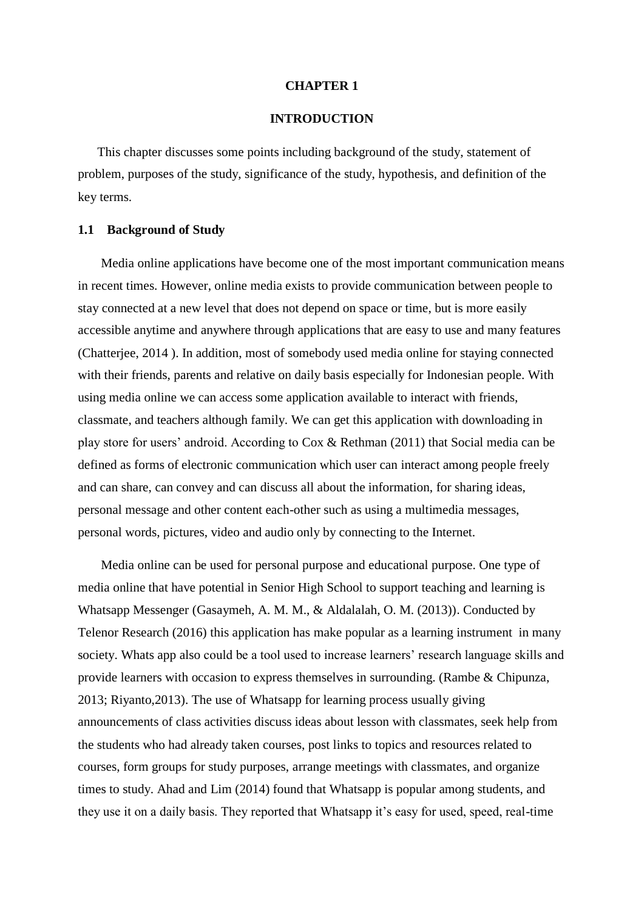### **CHAPTER 1**

### **INTRODUCTION**

This chapter discusses some points including background of the study, statement of problem, purposes of the study, significance of the study, hypothesis, and definition of the key terms.

### **1.1 Background of Study**

Media online applications have become one of the most important communication means in recent times. However, online media exists to provide communication between people to stay connected at a new level that does not depend on space or time, but is more easily accessible anytime and anywhere through applications that are easy to use and many features (Chatterjee, 2014 ). In addition, most of somebody used media online for staying connected with their friends, parents and relative on daily basis especially for Indonesian people. With using media online we can access some application available to interact with friends, classmate, and teachers although family. We can get this application with downloading in play store for users' android. According to Cox & Rethman (2011) that Social media can be defined as forms of electronic communication which user can interact among people freely and can share, can convey and can discuss all about the information, for sharing ideas, personal message and other content each-other such as using a multimedia messages, personal words, pictures, video and audio only by connecting to the Internet.

Media online can be used for personal purpose and educational purpose. One type of media online that have potential in Senior High School to support teaching and learning is Whatsapp Messenger (Gasaymeh, A. M. M., & Aldalalah, O. M. (2013)). Conducted by Telenor Research (2016) this application has make popular as a learning instrument in many society. Whats app also could be a tool used to increase learners' research language skills and provide learners with occasion to express themselves in surrounding. (Rambe & Chipunza, 2013; Riyanto,2013). The use of Whatsapp for learning process usually giving announcements of class activities discuss ideas about lesson with classmates, seek help from the students who had already taken courses, post links to topics and resources related to courses, form groups for study purposes, arrange meetings with classmates, and organize times to study. Ahad and Lim (2014) found that Whatsapp is popular among students, and they use it on a daily basis. They reported that Whatsapp it's easy for used, speed, real-time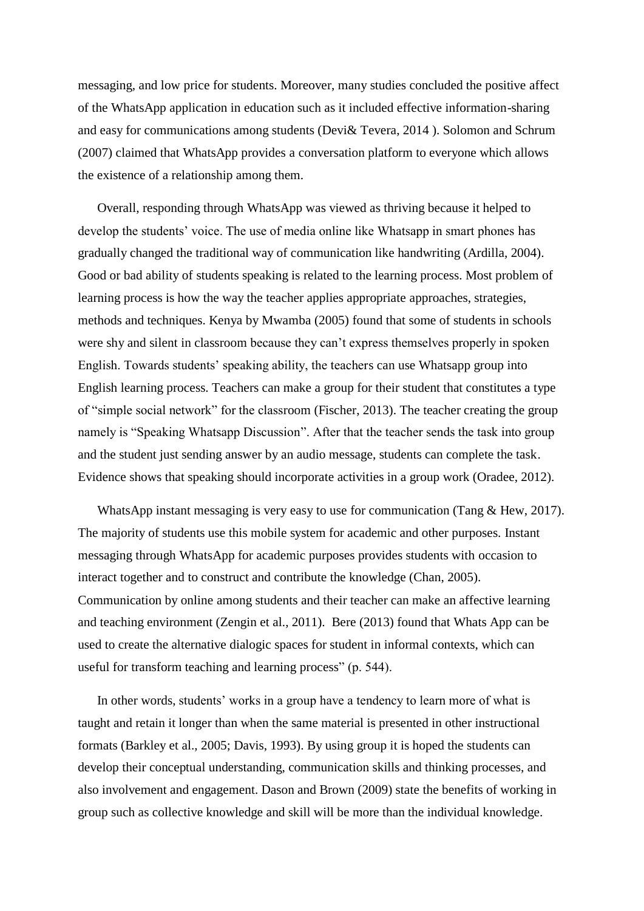messaging, and low price for students. Moreover, many studies concluded the positive affect of the WhatsApp application in education such as it included effective information-sharing and easy for communications among students (Devi& Tevera, 2014 ). Solomon and Schrum (2007) claimed that WhatsApp provides a conversation platform to everyone which allows the existence of a relationship among them.

Overall, responding through WhatsApp was viewed as thriving because it helped to develop the students' voice. The use of media online like Whatsapp in smart phones has gradually changed the traditional way of communication like handwriting (Ardilla, 2004). Good or bad ability of students speaking is related to the learning process. Most problem of learning process is how the way the teacher applies appropriate approaches, strategies, methods and techniques. Kenya by Mwamba (2005) found that some of students in schools were shy and silent in classroom because they can't express themselves properly in spoken English. Towards students' speaking ability, the teachers can use Whatsapp group into English learning process. Teachers can make a group for their student that constitutes a type of "simple social network" for the classroom (Fischer, 2013). The teacher creating the group namely is "Speaking Whatsapp Discussion". After that the teacher sends the task into group and the student just sending answer by an audio message, students can complete the task. Evidence shows that speaking should incorporate activities in a group work (Oradee, 2012).

WhatsApp instant messaging is very easy to use for communication (Tang & Hew, 2017). The majority of students use this mobile system for academic and other purposes. Instant messaging through WhatsApp for academic purposes provides students with occasion to interact together and to construct and contribute the knowledge (Chan, 2005). Communication by online among students and their teacher can make an affective learning and teaching environment (Zengin et al., 2011). Bere (2013) found that Whats App can be used to create the alternative dialogic spaces for student in informal contexts, which can useful for transform teaching and learning process" (p. 544).

In other words, students' works in a group have a tendency to learn more of what is taught and retain it longer than when the same material is presented in other instructional formats (Barkley et al., 2005; Davis, 1993). By using group it is hoped the students can develop their conceptual understanding, communication skills and thinking processes, and also involvement and engagement. Dason and Brown (2009) state the benefits of working in group such as collective knowledge and skill will be more than the individual knowledge.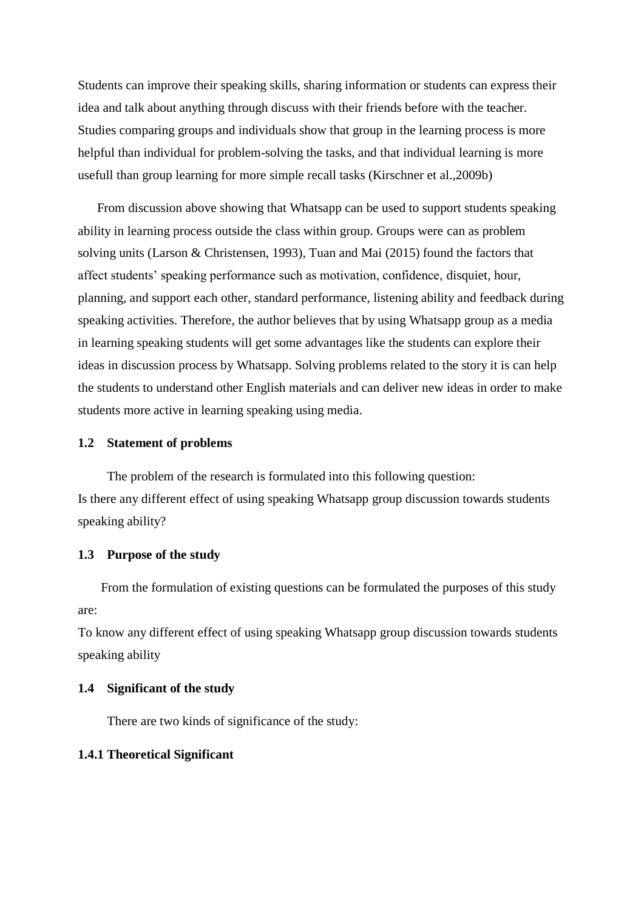Students can improve their speaking skills, sharing information or students can express their idea and talk about anything through discuss with their friends before with the teacher. Studies comparing groups and individuals show that group in the learning process is more helpful than individual for problem-solving the tasks, and that individual learning is more usefull than group learning for more simple recall tasks (Kirschner et al.,2009b)

From discussion above showing that Whatsapp can be used to support students speaking ability in learning process outside the class within group. Groups were can as problem solving units (Larson & Christensen, 1993), Tuan and Mai (2015) found the factors that affect students' speaking performance such as motivation, confidence, disquiet, hour, planning, and support each other, standard performance, listening ability and feedback during speaking activities. Therefore, the author believes that by using Whatsapp group as a media in learning speaking students will get some advantages like the students can explore their ideas in discussion process by Whatsapp. Solving problems related to the story it is can help the students to understand other English materials and can deliver new ideas in order to make students more active in learning speaking using media.

### **1.2 Statement of problems**

The problem of the research is formulated into this following question: Is there any different effect of using speaking Whatsapp group discussion towards students speaking ability?

### **1.3 Purpose of the study**

From the formulation of existing questions can be formulated the purposes of this study are:

To know any different effect of using speaking Whatsapp group discussion towards students speaking ability

### **1.4 Significant of the study**

There are two kinds of significance of the study:

## **1.4.1 Theoretical Significant**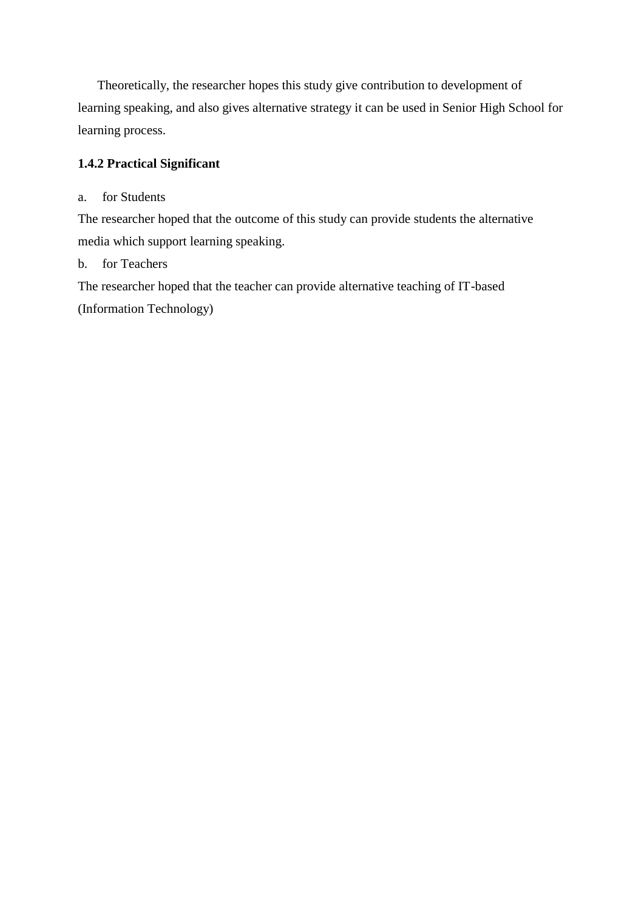Theoretically, the researcher hopes this study give contribution to development of learning speaking, and also gives alternative strategy it can be used in Senior High School for learning process.

# **1.4.2 Practical Significant**

# a. for Students

The researcher hoped that the outcome of this study can provide students the alternative media which support learning speaking.

# b. for Teachers

The researcher hoped that the teacher can provide alternative teaching of IT-based (Information Technology)